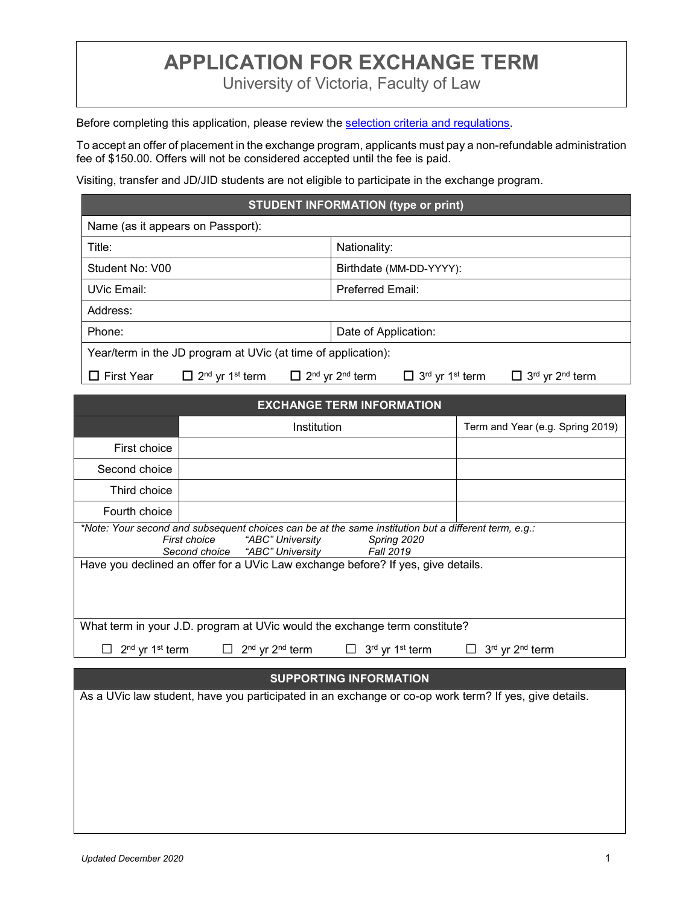## **APPLICATION FOR EXCHANGE TERM**

University of Victoria, Faculty of Law

Before completing this application, please review the [selection criteria and regulations.](http://www.uvic.ca/law/jd/exchangeterms/outgoingexchange/index.php#Selection%20criteria)

To accept an offer of placement in the exchange program, applicants must pay a non-refundable administration fee of \$150.00. Offers will not be considered accepted until the fee is paid.

Visiting, transfer and JD/JID students are not eligible to participate in the exchange program.

## **STUDENT INFORMATION (type or print)**

| Name (as it appears on Passport):                                   |                                                                                                                                                    |  |
|---------------------------------------------------------------------|----------------------------------------------------------------------------------------------------------------------------------------------------|--|
| Title:                                                              | Nationality:                                                                                                                                       |  |
| Student No: V00                                                     | Birthdate (MM-DD-YYYY):                                                                                                                            |  |
| UVic Email:                                                         | <b>Preferred Email:</b>                                                                                                                            |  |
| Address:                                                            |                                                                                                                                                    |  |
| Phone:                                                              | Date of Application:                                                                                                                               |  |
| Year/term in the JD program at UVic (at time of application):       |                                                                                                                                                    |  |
| $\Box$ 2 <sup>nd</sup> yr 1 <sup>st</sup> term<br>$\Box$ First Year | $\Box$ 2 <sup>nd</sup> yr 2 <sup>nd</sup> term<br>$\Box$ 3 <sup>rd</sup> yr 1 <sup>st</sup> term<br>$\Box$ 3 <sup>rd</sup> yr 2 <sup>nd</sup> term |  |
|                                                                     |                                                                                                                                                    |  |

| <b>EXCHANGE TERM INFORMATION</b>                                                                                                                                                                       |                                                                                                       |                                  |  |
|--------------------------------------------------------------------------------------------------------------------------------------------------------------------------------------------------------|-------------------------------------------------------------------------------------------------------|----------------------------------|--|
|                                                                                                                                                                                                        | Institution                                                                                           | Term and Year (e.g. Spring 2019) |  |
| First choice                                                                                                                                                                                           |                                                                                                       |                                  |  |
| Second choice                                                                                                                                                                                          |                                                                                                       |                                  |  |
| Third choice                                                                                                                                                                                           |                                                                                                       |                                  |  |
| Fourth choice                                                                                                                                                                                          |                                                                                                       |                                  |  |
| *Note: Your second and subsequent choices can be at the same institution but a different term, e.g.:<br>First choice<br>"ABC" University<br>Spring 2020<br>Second choice "ABC" University<br>Fall 2019 |                                                                                                       |                                  |  |
| Have you declined an offer for a UVic Law exchange before? If yes, give details.                                                                                                                       |                                                                                                       |                                  |  |
| What term in your J.D. program at UVic would the exchange term constitute?                                                                                                                             |                                                                                                       |                                  |  |
| 2 <sup>nd</sup> yr 1 <sup>st</sup> term<br>$\Box$                                                                                                                                                      | 2 <sup>nd</sup> yr 2 <sup>nd</sup> term<br>3 <sup>rd</sup> yr 1 <sup>st</sup> term<br>П               | 3rd yr 2nd term                  |  |
|                                                                                                                                                                                                        |                                                                                                       |                                  |  |
| <b>SUPPORTING INFORMATION</b>                                                                                                                                                                          |                                                                                                       |                                  |  |
|                                                                                                                                                                                                        | As a UVic law student, have you participated in an exchange or co-op work term? If yes, give details. |                                  |  |